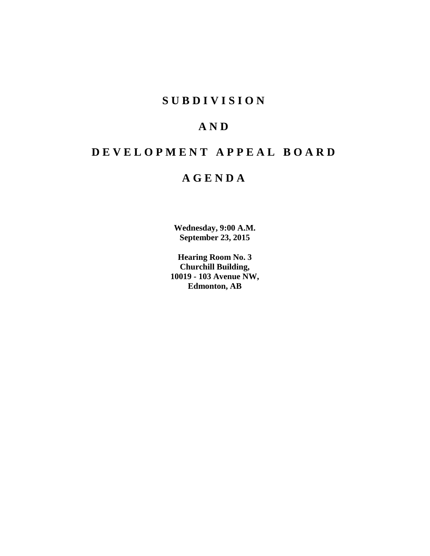# **S U B D I V I S I O N**

# **A N D**

# **D E V E L O P M E N T A P P E A L B O A R D**

# **A G E N D A**

**Wednesday, 9:00 A.M. September 23, 2015**

**Hearing Room No. 3 Churchill Building, 10019 - 103 Avenue NW, Edmonton, AB**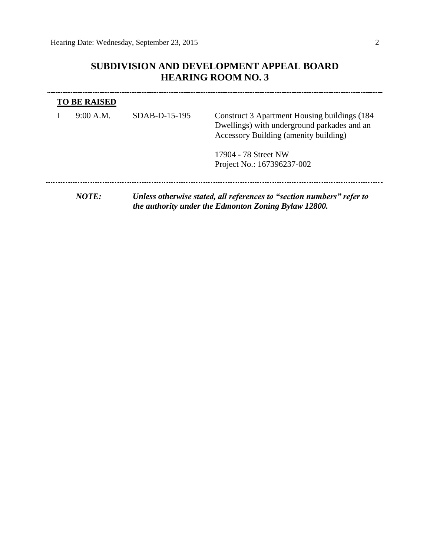## **SUBDIVISION AND DEVELOPMENT APPEAL BOARD HEARING ROOM NO. 3**

| <b>TO BE RAISED</b> |                 |                                                                                                                                       |
|---------------------|-----------------|---------------------------------------------------------------------------------------------------------------------------------------|
| 9:00 A.M.           | $SDAB-D-15-195$ | Construct 3 Apartment Housing buildings (184)<br>Dwellings) with underground parkades and an<br>Accessory Building (amenity building) |
|                     |                 | 17904 - 78 Street NW<br>Project No.: 167396237-002                                                                                    |
| NOTE:               |                 | Unless otherwise stated, all references to "section numbers" refer to<br>the authority under the Edmonton Zoning Bylaw 12800.         |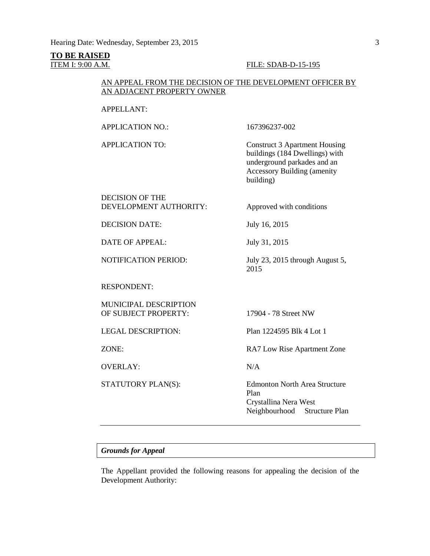#### **TO BE RAISED**

#### ITEM I: 9:00 A.M. **FILE: SDAB-D-15-195**

### AN APPEAL FROM THE DECISION OF THE DEVELOPMENT OFFICER BY AN ADJACENT PROPERTY OWNER

#### APPELLANT:

APPLICATION NO.: 167396237-002

APPLICATION TO: Construct 3 Apartment Housing buildings (184 Dwellings) with underground parkades and an Accessory Building (amenity building)

DECISION OF THE DEVELOPMENT AUTHORITY: Approved with conditions

DECISION DATE: July 16, 2015

DATE OF APPEAL: July 31, 2015

NOTIFICATION PERIOD: July 23, 2015 through August 5,

RESPONDENT:

MUNICIPAL DESCRIPTION OF SUBJECT PROPERTY: 17904 - 78 Street NW

OVERLAY: N/A

LEGAL DESCRIPTION: Plan 1224595 Blk 4 Lot 1

ZONE: RA7 Low Rise Apartment Zone

2015

STATUTORY PLAN(S): Edmonton North Area Structure Plan Crystallina Nera West Neighbourhood Structure Plan

#### *Grounds for Appeal*

The Appellant provided the following reasons for appealing the decision of the Development Authority: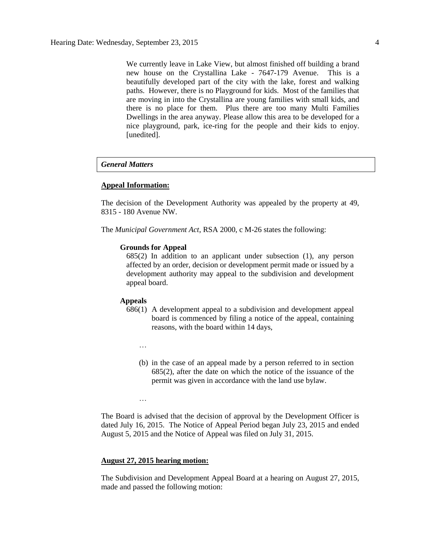We currently leave in Lake View, but almost finished off building a brand new house on the Crystallina Lake - 7647-179 Avenue. This is a beautifully developed part of the city with the lake, forest and walking paths. However, there is no Playground for kids. Most of the families that are moving in into the Crystallina are young families with small kids, and there is no place for them. Plus there are too many Multi Families Dwellings in the area anyway. Please allow this area to be developed for a nice playground, park, ice-ring for the people and their kids to enjoy. [unedited].

#### *General Matters*

#### **Appeal Information:**

The decision of the Development Authority was appealed by the property at 49, 8315 - 180 Avenue NW.

The *Municipal Government Act*, RSA 2000, c M-26 states the following:

#### **Grounds for Appeal**

685(2) In addition to an applicant under subsection (1), any person affected by an order, decision or development permit made or issued by a development authority may appeal to the subdivision and development appeal board.

#### **Appeals**

- 686(1) A development appeal to a subdivision and development appeal board is commenced by filing a notice of the appeal, containing reasons, with the board within 14 days,
	- …

…

(b) in the case of an appeal made by a person referred to in section 685(2), after the date on which the notice of the issuance of the permit was given in accordance with the land use bylaw.

The Board is advised that the decision of approval by the Development Officer is dated July 16, 2015. The Notice of Appeal Period began July 23, 2015 and ended August 5, 2015 and the Notice of Appeal was filed on July 31, 2015.

#### **August 27, 2015 hearing motion:**

The Subdivision and Development Appeal Board at a hearing on August 27, 2015, made and passed the following motion: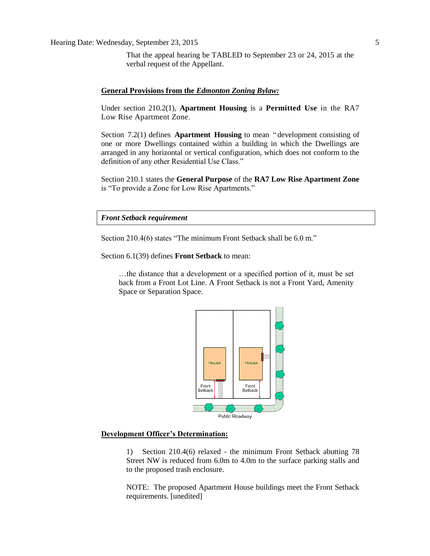That the appeal hearing be TABLED to September 23 or 24, 2015 at the verbal request of the Appellant.

#### **General Provisions from the** *Edmonton Zoning Bylaw:*

Under section 210.2(1), **Apartment Housing** is a **Permitted Use** in the RA7 Low Rise Apartment Zone.

Section 7.2(1) defines **Apartment Housing** to mean " development consisting of one or more Dwellings contained within a building in which the Dwellings are arranged in any horizontal or vertical configuration, which does not conform to the definition of any other Residential Use Class."

Section 210.1 states the **General Purpose** of the **RA7 Low Rise Apartment Zone** is "To provide a Zone for Low Rise Apartments."

*Front Setback requirement*

Section 210.4(6) states "The minimum Front Setback shall be [6.0](javascript:void(0);) m."

Section 6.1(39) defines **Front Setback** to mean:

…the distance that a development or a specified portion of it, must be set back from a Front Lot Line. A Front Setback is not a Front Yard, Amenity Space or Separation Space.



#### **Development Officer's Determination:**

1) Section 210.4(6) relaxed - the minimum Front Setback abutting 78 Street NW is reduced from 6.0m to 4.0m to the surface parking stalls and to the proposed trash enclosure.

NOTE: The proposed Apartment House buildings meet the Front Setback requirements. [unedited]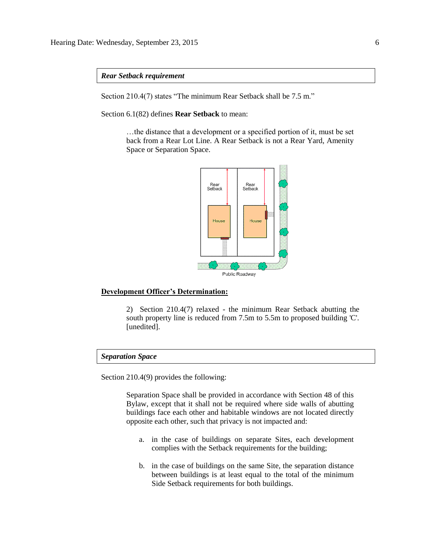*Rear Setback requirement*

Section 210.4(7) states "The minimum Rear Setback shall be [7.5](javascript:void(0);) m."

Section 6.1(82) defines **Rear Setback** to mean:

…the distance that a development or a specified portion of it, must be set back from a Rear Lot Line. A Rear Setback is not a Rear Yard, Amenity Space or Separation Space.



#### **Development Officer's Determination:**

2) Section 210.4(7) relaxed - the minimum Rear Setback abutting the south property line is reduced from 7.5m to 5.5m to proposed building 'C'. [unedited].

#### *Separation Space*

Section 210.4(9) provides the following:

Separation Space shall be provided in accordance with Section 48 of this Bylaw, except that it shall not be required where side walls of abutting buildings face each other and habitable windows are not located directly opposite each other, such that privacy is not impacted and:

- a. in the case of buildings on separate Sites, each development complies with the Setback requirements for the building;
- b. in the case of buildings on the same Site, the separation distance between buildings is at least equal to the total of the minimum Side Setback requirements for both buildings.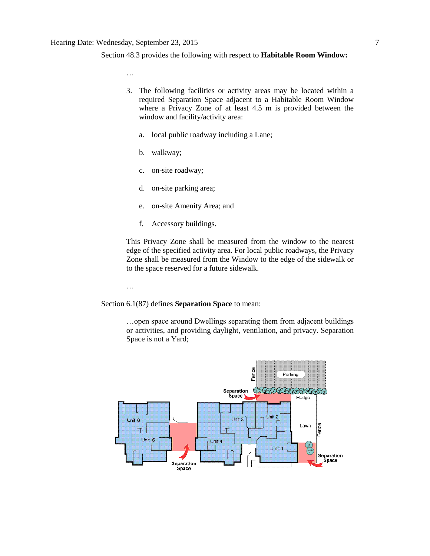#### Section 48.3 provides the following with respect to **Habitable Room Window:**

…

- 3. The following facilities or activity areas may be located within a required Separation Space adjacent to a Habitable Room Window where a Privacy Zone of at least 4.5 m is provided between the window and facility/activity area:
	- a. local public roadway including a Lane;
	- b. walkway;
	- c. on-site roadway;
	- d. on-site parking area;
	- e. on-site Amenity Area; and
	- f. Accessory buildings.

This Privacy Zone shall be measured from the window to the nearest edge of the specified activity area. For local public roadways, the Privacy Zone shall be measured from the Window to the edge of the sidewalk or to the space reserved for a future sidewalk.

…

Section 6.1(87) defines **Separation Space** to mean:

…open space around Dwellings separating them from adjacent buildings or activities, and providing daylight, ventilation, and privacy. Separation Space is not a Yard;

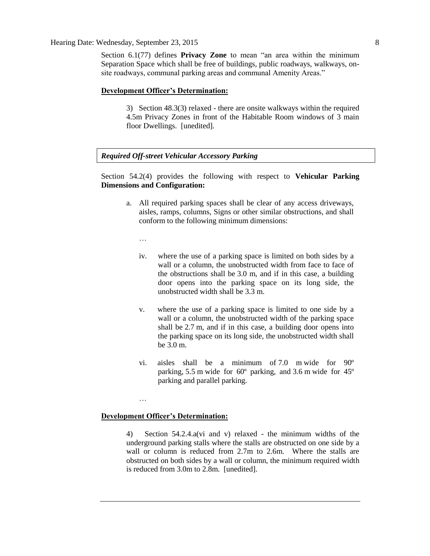#### Hearing Date: Wednesday, September 23, 2015 8

Section 6.1(77) defines **Privacy Zone** to mean "an area within the minimum Separation Space which shall be free of buildings, public roadways, walkways, onsite roadways, communal parking areas and communal Amenity Areas."

#### **Development Officer's Determination:**

3) Section 48.3(3) relaxed - there are onsite walkways within the required 4.5m Privacy Zones in front of the Habitable Room windows of 3 main floor Dwellings. [unedited].

#### *Required Off-street Vehicular Accessory Parking*

Section 54.2(4) provides the following with respect to **Vehicular Parking Dimensions and Configuration:**

a. All required parking spaces shall be clear of any access driveways, aisles, ramps, columns, Signs or other similar obstructions, and shall conform to the following minimum dimensions:

…

- iv. where the use of a parking space is limited on both sides by a wall or a column, the unobstructed width from face to face of the obstructions shall be [3.0 m,](javascript:void(0);) and if in this case, a building door opens into the parking space on its long side, the unobstructed width shall be [3.3](javascript:void(0);) m.
- v. where the use of a parking space is limited to one side by a wall or a column, the unobstructed width of the parking space shall be [2.7](javascript:void(0);) m, and if in this case, a building door opens into the parking space on its long side, the unobstructed width shall be [3.0](javascript:void(0);) m.
- vi. aisles shall be a minimum of [7.0 m](javascript:void(0);) wide for 90º parking, [5.5](javascript:void(0);) m wide for 60º parking, and [3.6](javascript:void(0);) m wide for 45º parking and parallel parking.

#### **Development Officer's Determination:**

…

4) Section 54.2.4.a(vi and v) relaxed - the minimum widths of the underground parking stalls where the stalls are obstructed on one side by a wall or column is reduced from 2.7m to 2.6m. Where the stalls are obstructed on both sides by a wall or column, the minimum required width is reduced from 3.0m to 2.8m. [unedited].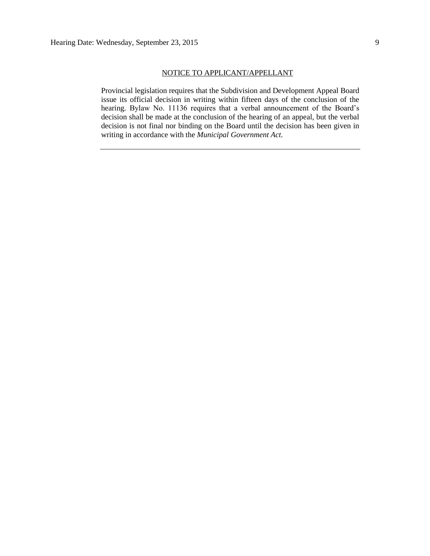#### NOTICE TO APPLICANT/APPELLANT

Provincial legislation requires that the Subdivision and Development Appeal Board issue its official decision in writing within fifteen days of the conclusion of the hearing. Bylaw No. 11136 requires that a verbal announcement of the Board's decision shall be made at the conclusion of the hearing of an appeal, but the verbal decision is not final nor binding on the Board until the decision has been given in writing in accordance with the *Municipal Government Act.*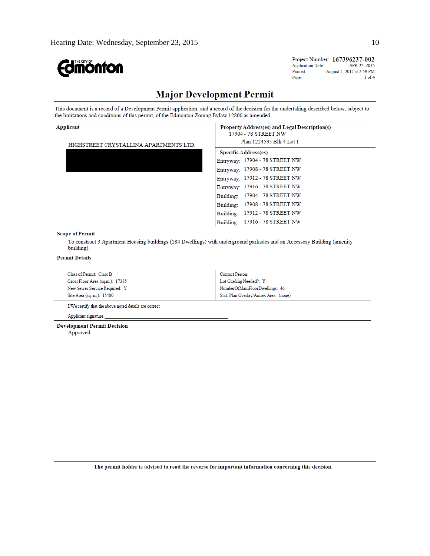| <b>I</b> THE CITY OF<br><b>ionton</b>                                                                                     | Project Number: 167396237-002<br><b>Application Date:</b><br>APR 22, 2015<br>Printed:<br>August 5, 2015 at 2:59 PM<br>$1$ of $4$<br>Page:   |  |  |
|---------------------------------------------------------------------------------------------------------------------------|---------------------------------------------------------------------------------------------------------------------------------------------|--|--|
|                                                                                                                           | <b>Major Development Permit</b>                                                                                                             |  |  |
| the limitations and conditions of this permit, of the Edmonton Zoning Bylaw 12800 as amended.                             | This document is a record of a Development Permit application, and a record of the decision for the undertaking described below, subject to |  |  |
| Applicant<br>HIGHSTREET CRYSTALLINA APARTMENTS LTD.                                                                       | Property Address(es) and Legal Description(s)<br>17904 - 78 STREET NW<br>Plan 1224595 Blk 4 Lot 1<br><b>Specific Address(es)</b>            |  |  |
|                                                                                                                           | Entryway: 17904 - 78 STREET NW<br>Entryway: 17908 - 78 STREET NW<br>Entryway: 17912 - 78 STREET NW<br>Entryway: 17916 - 78 STREET NW        |  |  |
|                                                                                                                           | Building: 17904 - 78 STREET NW<br>Building: 17908 - 78 STREET NW<br>Building: 17912 - 78 STREET NW<br>Building: 17916 - 78 STREET NW        |  |  |
| <b>Scope of Permit</b><br>building).                                                                                      | To construct 3 Apartment Housing buildings (184 Dwellings) with underground parkades and an Accessory Building (amenity                     |  |  |
| <b>Permit Details</b>                                                                                                     |                                                                                                                                             |  |  |
| Class of Permit: Class B<br>Gross Floor Area (sq.m.): 17335<br>New Sewer Service Required: Y<br>Site Area (sq. m.): 15400 | Contact Person:<br>Lot Grading Needed?: Y<br>NumberOfMainFloorDwellings: 46<br>Stat. Plan Overlay/Annex Area: (none)                        |  |  |
| I/We certify that the above noted details are correct.<br>Applicant signature:                                            |                                                                                                                                             |  |  |
| <b>Development Permit Decision</b><br>Approved                                                                            |                                                                                                                                             |  |  |
|                                                                                                                           | The permit holder is advised to read the reverse for important information concerning this decision.                                        |  |  |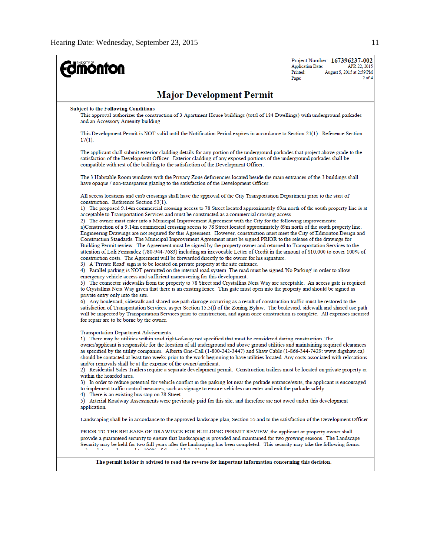| <b>mönton</b>                                                                                                                                                                                                                                                                                                                                                                                                                                                                                                                                                                                                                                                                                                                                                                                                                                                                                                                                                                                                                                                                                                                                                                                                                                                         | Project Number: 167396237-002<br><b>Application Date:</b><br>APR 22, 2015<br>Printed:<br>August 5, 2015 at 2:59 PM<br>$2$ of 4<br>Page: |  |  |  |  |  |  |
|-----------------------------------------------------------------------------------------------------------------------------------------------------------------------------------------------------------------------------------------------------------------------------------------------------------------------------------------------------------------------------------------------------------------------------------------------------------------------------------------------------------------------------------------------------------------------------------------------------------------------------------------------------------------------------------------------------------------------------------------------------------------------------------------------------------------------------------------------------------------------------------------------------------------------------------------------------------------------------------------------------------------------------------------------------------------------------------------------------------------------------------------------------------------------------------------------------------------------------------------------------------------------|-----------------------------------------------------------------------------------------------------------------------------------------|--|--|--|--|--|--|
| <b>Major Development Permit</b>                                                                                                                                                                                                                                                                                                                                                                                                                                                                                                                                                                                                                                                                                                                                                                                                                                                                                                                                                                                                                                                                                                                                                                                                                                       |                                                                                                                                         |  |  |  |  |  |  |
| Subject to the Following Conditions<br>This approval authorizes the construction of 3 Apartment House buildings (total of 184 Dwellings) with underground parkades<br>and an Accessory Amenity building.                                                                                                                                                                                                                                                                                                                                                                                                                                                                                                                                                                                                                                                                                                                                                                                                                                                                                                                                                                                                                                                              |                                                                                                                                         |  |  |  |  |  |  |
| This Development Permit is NOT valid until the Notification Period expires in accordance to Section 21(1). Reference Section<br>$17(1)$ .                                                                                                                                                                                                                                                                                                                                                                                                                                                                                                                                                                                                                                                                                                                                                                                                                                                                                                                                                                                                                                                                                                                             |                                                                                                                                         |  |  |  |  |  |  |
| The applicant shall submit exterior cladding details for any portion of the underground parkades that project above grade to the<br>satisfaction of the Development Officer. Exterior cladding of any exposed portions of the underground parkades shall be<br>compatible with rest of the building to the satisfaction of the Development Officer.                                                                                                                                                                                                                                                                                                                                                                                                                                                                                                                                                                                                                                                                                                                                                                                                                                                                                                                   |                                                                                                                                         |  |  |  |  |  |  |
| The 3 Habitable Room windows with the Privacy Zone deficiencies located beside the main entrances of the 3 buildings shall<br>have opaque / non-transparent glazing to the satisfaction of the Development Officer.                                                                                                                                                                                                                                                                                                                                                                                                                                                                                                                                                                                                                                                                                                                                                                                                                                                                                                                                                                                                                                                   |                                                                                                                                         |  |  |  |  |  |  |
| All access locations and curb crossings shall have the approval of the City Transportation Department prior to the start of<br>construction. Reference Section 53(1).<br>1) The proposed 9.14m commercial crossing access to 78 Street located approximately 69m north of the south property line is at                                                                                                                                                                                                                                                                                                                                                                                                                                                                                                                                                                                                                                                                                                                                                                                                                                                                                                                                                               |                                                                                                                                         |  |  |  |  |  |  |
| acceptable to Transportation Services and must be constructed as a commercial crossing access.<br>2) The owner must enter into a Municipal Improvement Agreement with the City for the following improvements:<br>a)Construction of a 9.14m commercial crossing access to 78 Street located approximately 69m north of the south property line.<br>Engineering Drawings are not required for this Agreement. However, construction must meet the City of Edmonton Design and<br>Construction Standards. The Municipal Improvement Agreement must be signed PRIOR to the release of the drawings for<br>Building Permit review. The Agreement must be signed by the property owner and returned to Transportation Services to the<br>attention of Loli Fernandez (780-944-7683) including an irrevocable Letter of Credit in the amount of \$10,000 to cover 100% of<br>construction costs. The Agreement will be forwarded directly to the owner for his signature.<br>3) A 'Private Road' sign is to be located on private property at the site entrance.                                                                                                                                                                                                            |                                                                                                                                         |  |  |  |  |  |  |
| 4) Parallel parking is NOT permitted on the internal road system. The road must be signed No Parking' in order to allow<br>emergency vehicle access and sufficient maneuvering for this development.<br>5) The connector sidewalks from the property to 78 Street and Crystallina Nera Way are acceptable. An access gate is required<br>to Crystallina Nera Way given that there is an existing fence. This gate must open into the property and should be signed as<br>private entry only into the site.<br>6) Any boulevard, sidewalk and shared use path damage occurring as a result of construction traffic must be restored to the<br>satisfaction of Transportation Services, as per Section 15.5(f) of the Zoning Bylaw. The boulevard, sidewalk and shared use path<br>will be inspected by Transportation Services prior to construction, and again once construction is complete. All expenses incurred<br>for repair are to be borne by the owner.                                                                                                                                                                                                                                                                                                       |                                                                                                                                         |  |  |  |  |  |  |
| <b>Transportation Department Advisements:</b><br>1) There may be utilities within road right-of-way not specified that must be considered during construction. The<br>owner/applicant is responsible for the location of all underground and above ground utilities and maintaining required clearances<br>as specified by the utility companies. Alberta One-Call (1-800-242-3447) and Shaw Cable (1-866-344-7429; www.digshaw.ca)<br>should be contacted at least two weeks prior to the work beginning to have utilities located. Any costs associated with relocations<br>and/or removals shall be at the expense of the owner/applicant.<br>2) Residential Sales Trailers require a separate development permit. Construction trailers must be located on private property or<br>within the hoarded area.<br>3) In order to reduce potential for vehicle conflict in the parking lot near the parkade entrance/exits, the applicant is encouraged<br>to implement traffic control measures, such as signage to ensure vehicles can enter and exit the parkade safely.<br>4) There is an existing bus stop on 78 Street.<br>5) Arterial Roadway Assessments were previously paid for this site, and therefore are not owed under this development<br>application. |                                                                                                                                         |  |  |  |  |  |  |
| Landscaping shall be in accordance to the approved landscape plan, Section 55 and to the satisfaction of the Development Officer.                                                                                                                                                                                                                                                                                                                                                                                                                                                                                                                                                                                                                                                                                                                                                                                                                                                                                                                                                                                                                                                                                                                                     |                                                                                                                                         |  |  |  |  |  |  |
| PRIOR TO THE RELEASE OF DRAWINGS FOR BUILDING PERMIT REVIEW, the applicant or property owner shall<br>provide a guaranteed security to ensure that landscaping is provided and maintained for two growing seasons. The Landscape<br>Security may be held for two full years after the landscaping has been completed. This security may take the following forms:<br>for shown out<br>2010/11/11 11:15                                                                                                                                                                                                                                                                                                                                                                                                                                                                                                                                                                                                                                                                                                                                                                                                                                                                |                                                                                                                                         |  |  |  |  |  |  |
| The permit holder is advised to read the reverse for important information concerning this decision.                                                                                                                                                                                                                                                                                                                                                                                                                                                                                                                                                                                                                                                                                                                                                                                                                                                                                                                                                                                                                                                                                                                                                                  |                                                                                                                                         |  |  |  |  |  |  |
|                                                                                                                                                                                                                                                                                                                                                                                                                                                                                                                                                                                                                                                                                                                                                                                                                                                                                                                                                                                                                                                                                                                                                                                                                                                                       |                                                                                                                                         |  |  |  |  |  |  |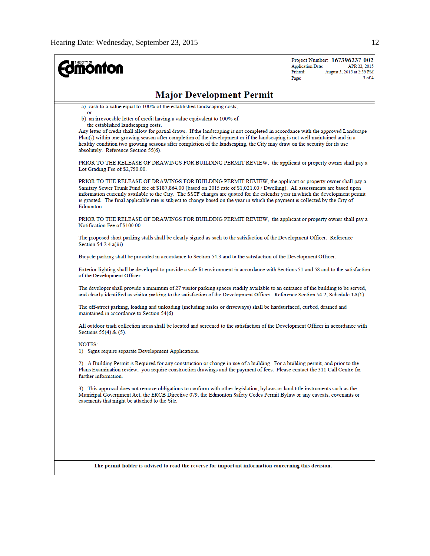| <b>nonton</b>                                                                                                                                                                                                                                                                                                                                                                                                                                                                                                           | Project Number: 167396237-002<br><b>Application Date:</b><br>APR 22, 2015<br>Printed:<br>August 5, 2015 at 2:59 PM<br>$3$ of 4<br>Page:                                                                                                                                                                                                                                                                                                                                                                                                          |  |  |  |  |  |  |
|-------------------------------------------------------------------------------------------------------------------------------------------------------------------------------------------------------------------------------------------------------------------------------------------------------------------------------------------------------------------------------------------------------------------------------------------------------------------------------------------------------------------------|--------------------------------------------------------------------------------------------------------------------------------------------------------------------------------------------------------------------------------------------------------------------------------------------------------------------------------------------------------------------------------------------------------------------------------------------------------------------------------------------------------------------------------------------------|--|--|--|--|--|--|
| <b>Major Development Permit</b>                                                                                                                                                                                                                                                                                                                                                                                                                                                                                         |                                                                                                                                                                                                                                                                                                                                                                                                                                                                                                                                                  |  |  |  |  |  |  |
| a) cash to a value equal to 100% of the established landscaping costs;                                                                                                                                                                                                                                                                                                                                                                                                                                                  |                                                                                                                                                                                                                                                                                                                                                                                                                                                                                                                                                  |  |  |  |  |  |  |
| b) an irrevocable letter of credit having a value equivalent to 100% of<br>the established landscaping costs.<br>absolutely. Reference Section 55(6).                                                                                                                                                                                                                                                                                                                                                                   | or<br>Any letter of credit shall allow for partial draws. If the landscaping is not completed in accordance with the approved Landscape<br>Plan(s) within one growing season after completion of the development or if the landscaping is not well maintained and in a<br>healthy condition two growing seasons after completion of the landscaping, the City may draw on the security for its use<br>PRIOR TO THE RELEASE OF DRAWINGS FOR BUILDING PERMIT REVIEW, the applicant or property owner shall pay a<br>Lot Grading Fee of \$2,750.00. |  |  |  |  |  |  |
|                                                                                                                                                                                                                                                                                                                                                                                                                                                                                                                         |                                                                                                                                                                                                                                                                                                                                                                                                                                                                                                                                                  |  |  |  |  |  |  |
| PRIOR TO THE RELEASE OF DRAWINGS FOR BUILDING PERMIT REVIEW, the applicant or property owner shall pay a<br>Sanitary Sewer Trunk Fund fee of \$187,864.00 (based on 2015 rate of \$1,021.00 / Dwelling). All assessments are based upon<br>information currently available to the City. The SSTF charges are quoted for the calendar year in which the development permit<br>is granted. The final applicable rate is subject to change based on the year in which the payment is collected by the City of<br>Edmonton. |                                                                                                                                                                                                                                                                                                                                                                                                                                                                                                                                                  |  |  |  |  |  |  |
| PRIOR TO THE RELEASE OF DRAWINGS FOR BUILDING PERMIT REVIEW, the applicant or property owner shall pay a<br>Notification Fee of \$100.00.                                                                                                                                                                                                                                                                                                                                                                               |                                                                                                                                                                                                                                                                                                                                                                                                                                                                                                                                                  |  |  |  |  |  |  |
| The proposed short parking stalls shall be clearly signed as such to the satisfaction of the Development Officer. Reference<br>Section $54.2.4.a(iii)$ .                                                                                                                                                                                                                                                                                                                                                                |                                                                                                                                                                                                                                                                                                                                                                                                                                                                                                                                                  |  |  |  |  |  |  |
| Bicycle parking shall be provided in accordance to Section 54.3 and to the satisfaction of the Development Officer.                                                                                                                                                                                                                                                                                                                                                                                                     |                                                                                                                                                                                                                                                                                                                                                                                                                                                                                                                                                  |  |  |  |  |  |  |
| of the Development Officer.                                                                                                                                                                                                                                                                                                                                                                                                                                                                                             | Exterior lighting shall be developed to provide a safe lit environment in accordance with Sections 51 and 58 and to the satisfaction                                                                                                                                                                                                                                                                                                                                                                                                             |  |  |  |  |  |  |
| The developer shall provide a minimum of 27 visitor parking spaces readily available to an entrance of the building to be served,<br>and clearly identified as visitor parking to the satisfaction of the Development Officer. Reference Section 54.2, Schedule 1A(1).                                                                                                                                                                                                                                                  |                                                                                                                                                                                                                                                                                                                                                                                                                                                                                                                                                  |  |  |  |  |  |  |
| The off-street parking, loading and unloading (including aisles or driveways) shall be hardsurfaced, curbed, drained and<br>maintained in accordance to Section 54(6).                                                                                                                                                                                                                                                                                                                                                  |                                                                                                                                                                                                                                                                                                                                                                                                                                                                                                                                                  |  |  |  |  |  |  |
| All outdoor trash collection areas shall be located and screened to the satisfaction of the Development Officer in accordance with<br>Sections $55(4)$ & $(5)$ .                                                                                                                                                                                                                                                                                                                                                        |                                                                                                                                                                                                                                                                                                                                                                                                                                                                                                                                                  |  |  |  |  |  |  |
| NOTES:<br>1) Signs require separate Development Applications.                                                                                                                                                                                                                                                                                                                                                                                                                                                           |                                                                                                                                                                                                                                                                                                                                                                                                                                                                                                                                                  |  |  |  |  |  |  |
| 2) A Building Permit is Required for any construction or change in use of a building. For a building permit, and prior to the<br>Plans Examination review, you require construction drawings and the payment of fees. Please contact the 311 Call Centre for<br>further information.                                                                                                                                                                                                                                    |                                                                                                                                                                                                                                                                                                                                                                                                                                                                                                                                                  |  |  |  |  |  |  |
| 3) This approval does not remove obligations to conform with other legislation, bylaws or land title instruments such as the<br>Municipal Government Act, the ERCB Directive 079, the Edmonton Safety Codes Permit Bylaw or any caveats, covenants or<br>easements that might be attached to the Site.                                                                                                                                                                                                                  |                                                                                                                                                                                                                                                                                                                                                                                                                                                                                                                                                  |  |  |  |  |  |  |
|                                                                                                                                                                                                                                                                                                                                                                                                                                                                                                                         |                                                                                                                                                                                                                                                                                                                                                                                                                                                                                                                                                  |  |  |  |  |  |  |
| The permit holder is advised to read the reverse for important information concerning this decision.                                                                                                                                                                                                                                                                                                                                                                                                                    |                                                                                                                                                                                                                                                                                                                                                                                                                                                                                                                                                  |  |  |  |  |  |  |
|                                                                                                                                                                                                                                                                                                                                                                                                                                                                                                                         |                                                                                                                                                                                                                                                                                                                                                                                                                                                                                                                                                  |  |  |  |  |  |  |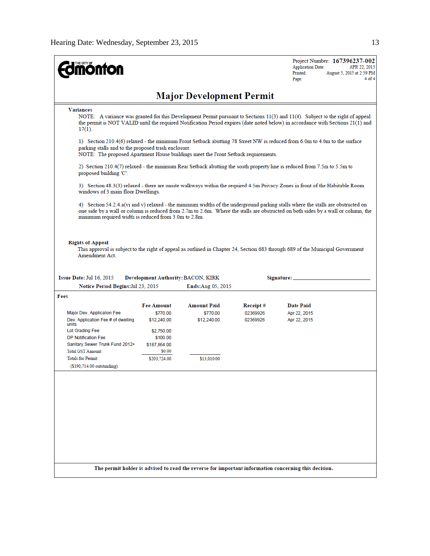| <b>nonton</b>                                                                                                                                                                                                                                                                                                                |                   |                                                          |          | Project Number: 167396237-002<br><b>Application Date:</b><br>APR 22, 2015<br>Printed:<br>August 5, 2015 at 2:59 PM<br>4 of 4<br>Page: |  |  |  |  |  |  |
|------------------------------------------------------------------------------------------------------------------------------------------------------------------------------------------------------------------------------------------------------------------------------------------------------------------------------|-------------------|----------------------------------------------------------|----------|---------------------------------------------------------------------------------------------------------------------------------------|--|--|--|--|--|--|
| <b>Major Development Permit</b>                                                                                                                                                                                                                                                                                              |                   |                                                          |          |                                                                                                                                       |  |  |  |  |  |  |
| <b>Variances</b><br>NOTE: A variance was granted for this Development Permit pursuant to Sections 11(3) and 11(4). Subject to the right of appeal<br>the permit is NOT VALID until the required Notification Period expires (date noted below) in accordance with Sections 21(1) and<br>$17(1)$ .                            |                   |                                                          |          |                                                                                                                                       |  |  |  |  |  |  |
| 1) Section 210.4(6) relaxed - the minimum Front Setback abutting 78 Street NW is reduced from 6.0m to 4.0m to the surface<br>parking stalls and to the proposed trash enclosure.<br>NOTE: The proposed Apartment House buildings meet the Front Setback requirements.                                                        |                   |                                                          |          |                                                                                                                                       |  |  |  |  |  |  |
| 2) Section 210.4(7) relaxed - the minimum Rear Setback abutting the south property line is reduced from 7.5m to 5.5m to<br>proposed building 'C'.                                                                                                                                                                            |                   |                                                          |          |                                                                                                                                       |  |  |  |  |  |  |
| 3) Section 48.3(3) relaxed - there are onsite walkways within the required 4.5m Privacy Zones in front of the Habitable Room<br>windows of 3 main floor Dwellings.                                                                                                                                                           |                   |                                                          |          |                                                                                                                                       |  |  |  |  |  |  |
| 4) Section 54.2.4.a(vi and v) relaxed - the minimum widths of the underground parking stalls where the stalls are obstructed on<br>one side by a wall or column is reduced from 2.7m to 2.6m. Where the stalls are obstructed on both sides by a wall or column, the<br>minimum required width is reduced from 3.0m to 2.8m. |                   |                                                          |          |                                                                                                                                       |  |  |  |  |  |  |
| <b>Rights of Appeal</b><br>This approval is subject to the right of appeal as outlined in Chapter 24, Section 683 through 689 of the Municipal Government<br>Amendment Act.                                                                                                                                                  |                   |                                                          |          |                                                                                                                                       |  |  |  |  |  |  |
| Issue Date: Jul 16, 2015<br>Notice Period Begins: Jul 23, 2015                                                                                                                                                                                                                                                               |                   | Development Authority: BACON, KIRK<br>Ends: Aug 05, 2015 |          | Signature: _                                                                                                                          |  |  |  |  |  |  |
| Fees                                                                                                                                                                                                                                                                                                                         |                   |                                                          |          |                                                                                                                                       |  |  |  |  |  |  |
|                                                                                                                                                                                                                                                                                                                              | <b>Fee Amount</b> | Amount Paid                                              | Receipt# | <b>Date Paid</b>                                                                                                                      |  |  |  |  |  |  |
| Major Dev. Application Fee                                                                                                                                                                                                                                                                                                   | \$770.00          | \$770.00                                                 | 02369926 | Apr 22, 2015                                                                                                                          |  |  |  |  |  |  |
| Dev. Application Fee # of dwelling<br>units                                                                                                                                                                                                                                                                                  | \$12,240.00       | \$12,240.00                                              | 02369926 | Apr 22, 2015                                                                                                                          |  |  |  |  |  |  |
| Lot Grading Fee                                                                                                                                                                                                                                                                                                              | \$2,750.00        |                                                          |          |                                                                                                                                       |  |  |  |  |  |  |
| <b>DP Notification Fee</b>                                                                                                                                                                                                                                                                                                   | \$100.00          |                                                          |          |                                                                                                                                       |  |  |  |  |  |  |
| Sanitary Sewer Trunk Fund 2012+                                                                                                                                                                                                                                                                                              | \$187,864.00      |                                                          |          |                                                                                                                                       |  |  |  |  |  |  |
| <b>Total GST Amount:</b>                                                                                                                                                                                                                                                                                                     | \$0.00            |                                                          |          |                                                                                                                                       |  |  |  |  |  |  |
| <b>Totals for Permit:</b><br>(\$190,714.00 outstanding)                                                                                                                                                                                                                                                                      | \$203,724.00      | \$13,010.00                                              |          |                                                                                                                                       |  |  |  |  |  |  |
|                                                                                                                                                                                                                                                                                                                              |                   |                                                          |          | The permit holder is advised to read the reverse for important information concerning this decision.                                  |  |  |  |  |  |  |
|                                                                                                                                                                                                                                                                                                                              |                   |                                                          |          |                                                                                                                                       |  |  |  |  |  |  |